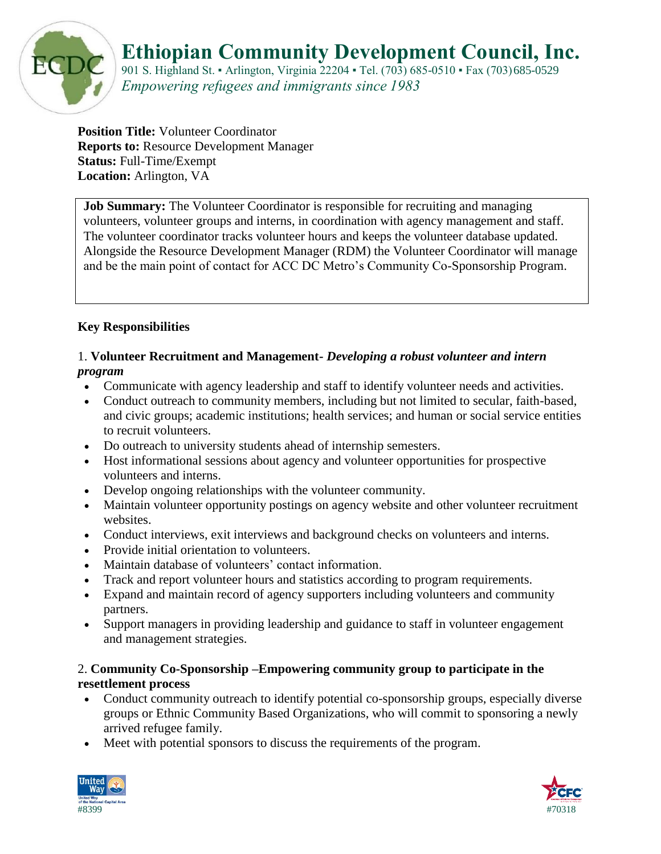

## **Ethiopian Community Development Council, Inc.**

901 S. Highland St. • Arlington, Virginia 22204 • Tel. (703) 685-0510 • Fax (703) 685-0529 *Empowering refugees and immigrants since 1983*

**Position Title:** Volunteer Coordinator **Reports to:** Resource Development Manager **Status:** Full-Time/Exempt **Location:** Arlington, VA

**Job Summary:** The Volunteer Coordinator is responsible for recruiting and managing volunteers, volunteer groups and interns, in coordination with agency management and staff. The volunteer coordinator tracks volunteer hours and keeps the volunteer database updated. Alongside the Resource Development Manager (RDM) the Volunteer Coordinator will manage and be the main point of contact for ACC DC Metro's Community Co-Sponsorship Program.

#### **Key Responsibilities**

#### 1. **Volunteer Recruitment and Management-** *Developing a robust volunteer and intern program*

- Communicate with agency leadership and staff to identify volunteer needs and activities.
- Conduct outreach to community members, including but not limited to secular, faith-based, and civic groups; academic institutions; health services; and human or social service entities to recruit volunteers.
- Do outreach to university students ahead of internship semesters.
- Host informational sessions about agency and volunteer opportunities for prospective volunteers and interns.
- Develop ongoing relationships with the volunteer community.
- Maintain volunteer opportunity postings on agency website and other volunteer recruitment websites.
- Conduct interviews, exit interviews and background checks on volunteers and interns.
- Provide initial orientation to volunteers.
- Maintain database of volunteers' contact information.
- Track and report volunteer hours and statistics according to program requirements.
- Expand and maintain record of agency supporters including volunteers and community partners.
- Support managers in providing leadership and guidance to staff in volunteer engagement and management strategies.

#### 2. **Community Co-Sponsorship –Empowering community group to participate in the resettlement process**

- Conduct community outreach to identify potential co-sponsorship groups, especially diverse groups or Ethnic Community Based Organizations, who will commit to sponsoring a newly arrived refugee family.
- Meet with potential sponsors to discuss the requirements of the program.



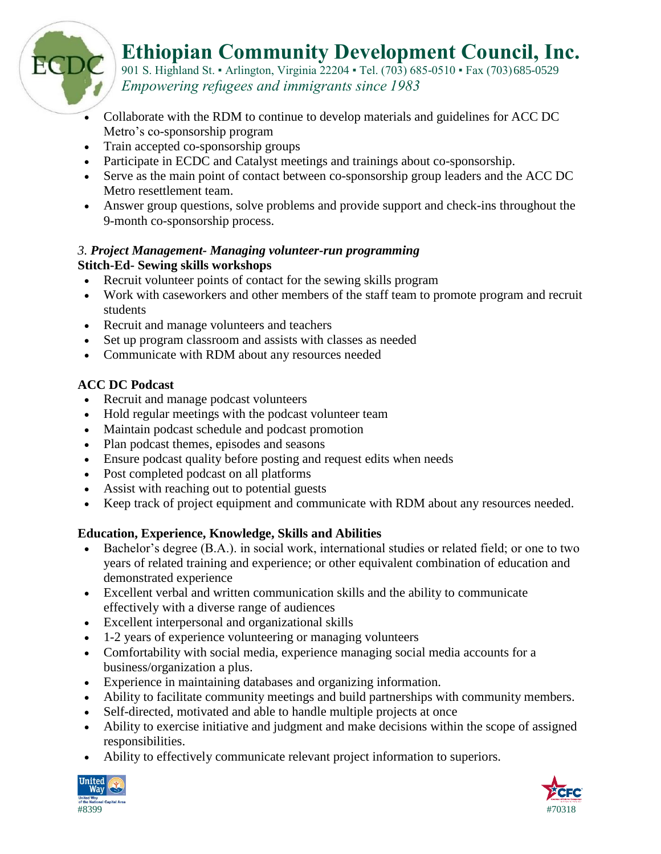

901 S. Highland St. • Arlington, Virginia 22204 • Tel. (703) 685-0510 • Fax (703) 685-0529 *Empowering refugees and immigrants since 1983*

- Collaborate with the RDM to continue to develop materials and guidelines for ACC DC Metro's co-sponsorship program
- Train accepted co-sponsorship groups
- Participate in ECDC and Catalyst meetings and trainings about co-sponsorship.
- Serve as the main point of contact between co-sponsorship group leaders and the ACC DC Metro resettlement team.
- Answer group questions, solve problems and provide support and check-ins throughout the 9-month co-sponsorship process.

### *3. Project Management- Managing volunteer-run programming* **Stitch-Ed- Sewing skills workshops**

- Recruit volunteer points of contact for the sewing skills program
- Work with caseworkers and other members of the staff team to promote program and recruit students
- Recruit and manage volunteers and teachers
- Set up program classroom and assists with classes as needed
- Communicate with RDM about any resources needed

## **ACC DC Podcast**

EC

- Recruit and manage podcast volunteers
- Hold regular meetings with the podcast volunteer team
- Maintain podcast schedule and podcast promotion
- Plan podcast themes, episodes and seasons
- Ensure podcast quality before posting and request edits when needs
- Post completed podcast on all platforms
- Assist with reaching out to potential guests
- Keep track of project equipment and communicate with RDM about any resources needed.

## **Education, Experience, Knowledge, Skills and Abilities**

- Bachelor's degree (B.A.). in social work, international studies or related field; or one to two years of related training and experience; or other equivalent combination of education and demonstrated experience
- Excellent verbal and written communication skills and the ability to communicate effectively with a diverse range of audiences
- Excellent interpersonal and organizational skills
- 1-2 years of experience volunteering or managing volunteers
- Comfortability with social media, experience managing social media accounts for a business/organization a plus.
- Experience in maintaining databases and organizing information.
- Ability to facilitate community meetings and build partnerships with community members.
- Self-directed, motivated and able to handle multiple projects at once
- Ability to exercise initiative and judgment and make decisions within the scope of assigned responsibilities.
- Ability to effectively communicate relevant project information to superiors.